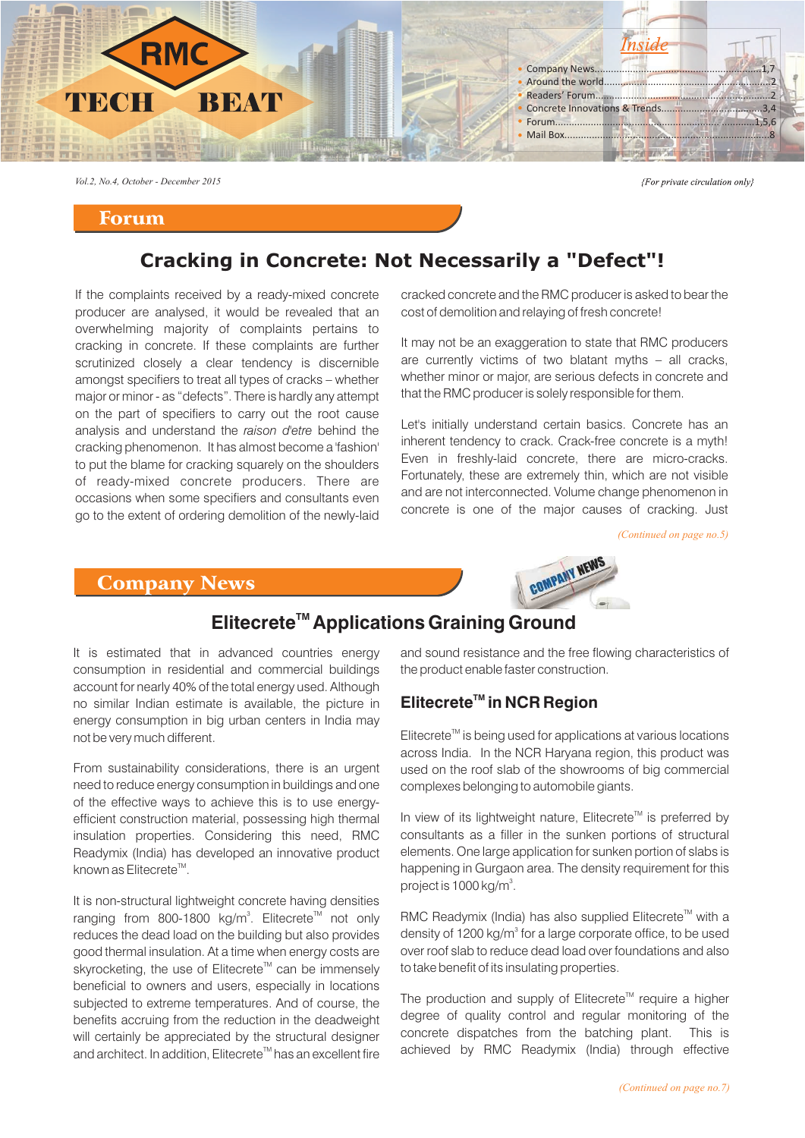

*Vol.2, No.4, October - December 2015*

#### Forum

{For private circulation only}

# **Cracking in Concrete: Not Necessarily a "Defect"!**

If the complaints received by a ready-mixed concrete producer are analysed, it would be revealed that an overwhelming majority of complaints pertains to cracking in concrete. If these complaints are further scrutinized closely a clear tendency is discernible amongst specifiers to treat all types of cracks – whether major or minor - as "defects". There is hardly any attempt on the part of specifiers to carry out the root cause analysis and understand the *raison d'etre* behind the cracking phenomenon. It has almost become a 'fashion' to put the blame for cracking squarely on the shoulders of ready-mixed concrete producers. There are occasions when some specifiers and consultants even go to the extent of ordering demolition of the newly-laid

cracked concrete and the RMC producer is asked to bear the cost of demolition and relaying of fresh concrete!

It may not be an exaggeration to state that RMC producers are currently victims of two blatant myths – all cracks, whether minor or major, are serious defects in concrete and that the RMC producer is solely responsible for them.

Let's initially understand certain basics. Concrete has an inherent tendency to crack. Crack-free concrete is a myth! Even in freshly-laid concrete, there are micro-cracks. Fortunately, these are extremely thin, which are not visible and are not interconnected. Volume change phenomenon in concrete is one of the major causes of cracking. Just

*(Continued on page no.5)*

#### Company News



# **Elitecrete<sup>™</sup> Applications Graining Ground**

It is estimated that in advanced countries energy consumption in residential and commercial buildings account for nearly 40% of the total energy used. Although no similar Indian estimate is available, the picture in energy consumption in big urban centers in India may not be very much different.

From sustainability considerations, there is an urgent need to reduce energy consumption in buildings and one of the effective ways to achieve this is to use energyefficient construction material, possessing high thermal insulation properties. Considering this need, RMC Readymix (India) has developed an innovative product known as Elitecrete<sup> $M$ </sup>.

It is non-structural lightweight concrete having densities ranging from 800-1800 kg/m<sup>3</sup>. Elitecrete<sup>™</sup> not only reduces the dead load on the building but also provides good thermal insulation. At a time when energy costs are skyrocketing, the use of Elitecrete<sup>™</sup> can be immenselv beneficial to owners and users, especially in locations subjected to extreme temperatures. And of course, the benefits accruing from the reduction in the deadweight will certainly be appreciated by the structural designer and architect. In addition, Elitecrete<sup>™</sup> has an excellent fire and sound resistance and the free flowing characteristics of the product enable faster construction.

## **TM Elitecrete in NCR Region**

 $E$ litecrete<sup> $\mathbb{I}^M$ </sup> is being used for applications at various locations across India. In the NCR Haryana region, this product was used on the roof slab of the showrooms of big commercial complexes belonging to automobile giants.

In view of its lightweight nature, Elitecrete<sup>™</sup> is preferred by consultants as a filler in the sunken portions of structural elements. One large application for sunken portion of slabs is happening in Gurgaon area. The density requirement for this project is 1000 kg/m<sup>3</sup>.

RMC Readymix (India) has also supplied Elitecrete<sup>™</sup> with a density of 1200 kg/m<sup>3</sup> for a large corporate office, to be used over roof slab to reduce dead load over foundations and also to take benefit of its insulating properties.

The production and supply of Elitecrete<sup>™</sup> require a higher degree of quality control and regular monitoring of the concrete dispatches from the batching plant. This is achieved by RMC Readymix (India) through effective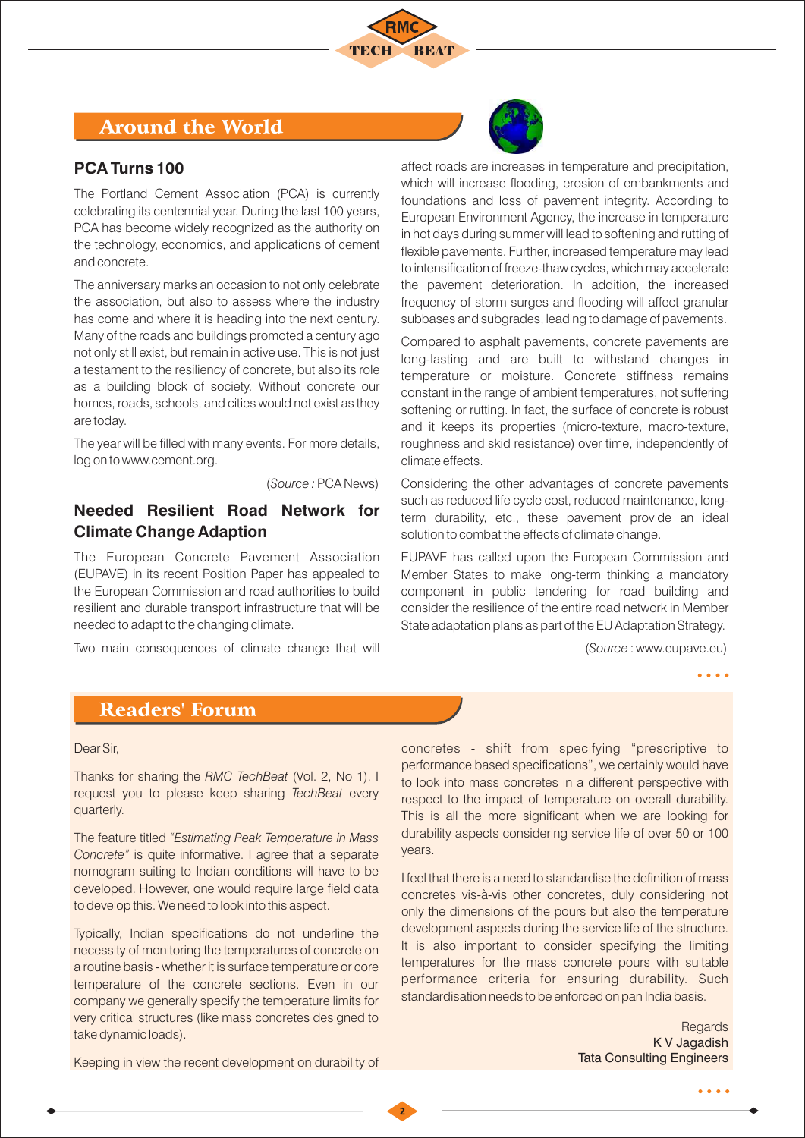

# Around the World

#### **PCA Turns 100**

The Portland Cement Association (PCA) is currently celebrating its centennial year. During the last 100 years, PCA has become widely recognized as the authority on the technology, economics, and applications of cement and concrete.

The anniversary marks an occasion to not only celebrate the association, but also to assess where the industry has come and where it is heading into the next century. Many of the roads and buildings promoted a century ago not only still exist, but remain in active use. This is not just a testament to the resiliency of concrete, but also its role as a building block of society. Without concrete our homes, roads, schools, and cities would not exist as they are today.

The year will be filled with many events. For more details, log on to www.cement.org.

(*Source :* PCA News)

### **Needed Resilient Road Network for Climate Change Adaption**

The European Concrete Pavement Association (EUPAVE) in its recent Position Paper has appealed to the European Commission and road authorities to build resilient and durable transport infrastructure that will be needed to adapt to the changing climate.

Two main consequences of climate change that will



Compared to asphalt pavements, concrete pavements are long-lasting and are built to withstand changes in temperature or moisture. Concrete stiffness remains constant in the range of ambient temperatures, not suffering softening or rutting. In fact, the surface of concrete is robust and it keeps its properties (micro-texture, macro-texture, roughness and skid resistance) over time, independently of climate effects.

Considering the other advantages of concrete pavements such as reduced life cycle cost, reduced maintenance, longterm durability, etc., these pavement provide an ideal solution to combat the effects of climate change.

EUPAVE has called upon the European Commission and Member States to make long-term thinking a mandatory component in public tendering for road building and consider the resilience of the entire road network in Member State adaptation plans as part of the EU Adaptation Strategy.

(*Source* : www.eupave.eu)

 $\bullet$   $\bullet$   $\bullet$ 

# Readers' Forum

#### Dear Sir,

Thanks for sharing the *RMC TechBeat* (Vol. 2, No 1). I request you to please keep sharing *TechBeat* every quarterly.

The feature titled *"Estimating Peak Temperature in Mass Concrete"* is quite informative. I agree that a separate nomogram suiting to Indian conditions will have to be developed. However, one would require large field data to develop this. We need to look into this aspect.

Typically, Indian specifications do not underline the necessity of monitoring the temperatures of concrete on a routine basis - whether it is surface temperature or core temperature of the concrete sections. Even in our company we generally specify the temperature limits for very critical structures (like mass concretes designed to take dynamic loads).

Keeping in view the recent development on durability of

concretes - shift from specifying "prescriptive to performance based specifications", we certainly would have to look into mass concretes in a different perspective with respect to the impact of temperature on overall durability. This is all the more significant when we are looking for durability aspects considering service life of over 50 or 100 years.

I feel that there is a need to standardise the definition of mass concretes vis-à-vis other concretes, duly considering not only the dimensions of the pours but also the temperature development aspects during the service life of the structure. It is also important to consider specifying the limiting temperatures for the mass concrete pours with suitable performance criteria for ensuring durability. Such standardisation needs to be enforced on pan India basis.

> **Regards** K V Jagadish Tata Consulting Engineers

> > $\bullet\bullet\bullet\bullet$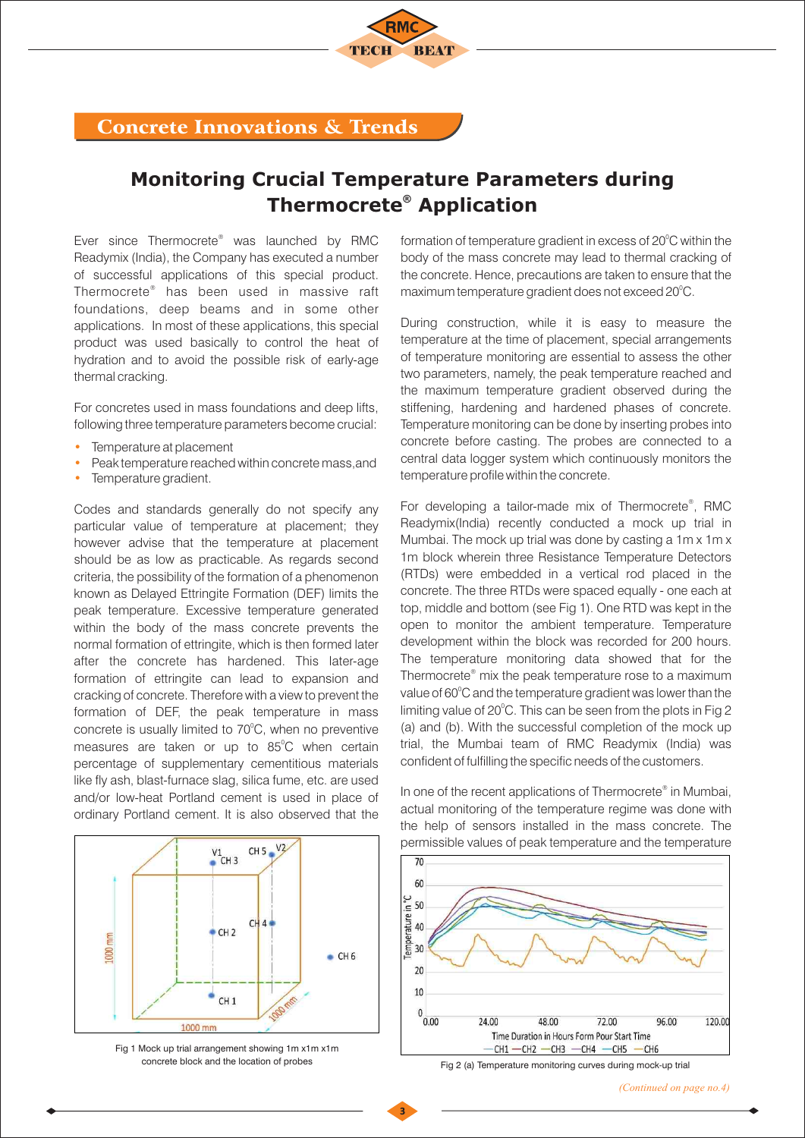## Concrete Innovations & Trends

# **Monitoring Crucial Temperature Parameters during Thermocrete<sup>®</sup> Application**

Ever since Thermocrete<sup>®</sup> was launched by RMC Readymix (India), the Company has executed a number of successful applications of this special product. Thermocrete<sup>®</sup> has been used in massive raft foundations, deep beams and in some other applications. In most of these applications, this special product was used basically to control the heat of hydration and to avoid the possible risk of early-age thermal cracking.

For concretes used in mass foundations and deep lifts, following three temperature parameters become crucial:

- Temperature at placement •
- Peak temperature reached within concrete mass,and •
- Temperature gradient. •

Codes and standards generally do not specify any particular value of temperature at placement; they however advise that the temperature at placement should be as low as practicable. As regards second criteria, the possibility of the formation of a phenomenon known as Delayed Ettringite Formation (DEF) limits the peak temperature. Excessive temperature generated within the body of the mass concrete prevents the normal formation of ettringite, which is then formed later after the concrete has hardened. This later-age formation of ettringite can lead to expansion and cracking of concrete. Therefore with a view to prevent the formation of DEF, the peak temperature in mass concrete is usually limited to 70°C, when no preventive measures are taken or up to 85°C when certain percentage of supplementary cementitious materials like fly ash, blast-furnace slag, silica fume, etc. are used and/or low-heat Portland cement is used in place of ordinary Portland cement. It is also observed that the



Fig 1 Mock up trial arrangement showing 1m x1m x1m concrete block and the location of probes Fig 2 (a) Temperature monitoring curves during mock-up trial

formation of temperature gradient in excess of  $20^{\circ}$ C within the body of the mass concrete may lead to thermal cracking of the concrete. Hence, precautions are taken to ensure that the maximum temperature gradient does not exceed 20°C.

During construction, while it is easy to measure the temperature at the time of placement, special arrangements of temperature monitoring are essential to assess the other two parameters, namely, the peak temperature reached and the maximum temperature gradient observed during the stiffening, hardening and hardened phases of concrete. Temperature monitoring can be done by inserting probes into concrete before casting. The probes are connected to a central data logger system which continuously monitors the temperature profile within the concrete.

For developing a tailor-made mix of Thermocrete®, RMC Readymix(India) recently conducted a mock up trial in Mumbai. The mock up trial was done by casting a 1m x 1m x 1m block wherein three Resistance Temperature Detectors (RTDs) were embedded in a vertical rod placed in the concrete. The three RTDs were spaced equally - one each at top, middle and bottom (see Fig 1). One RTD was kept in the open to monitor the ambient temperature. Temperature development within the block was recorded for 200 hours. The temperature monitoring data showed that for the Thermocrete<sup>®</sup> mix the peak temperature rose to a maximum value of 60°C and the temperature gradient was lower than the limiting value of 20°C. This can be seen from the plots in Fig 2 (a) and (b). With the successful completion of the mock up trial, the Mumbai team of RMC Readymix (India) was confident of fulfilling the specific needs of the customers.

In one of the recent applications of Thermocrete® in Mumbai, actual monitoring of the temperature regime was done with the help of sensors installed in the mass concrete. The permissible values of peak temperature and the temperature

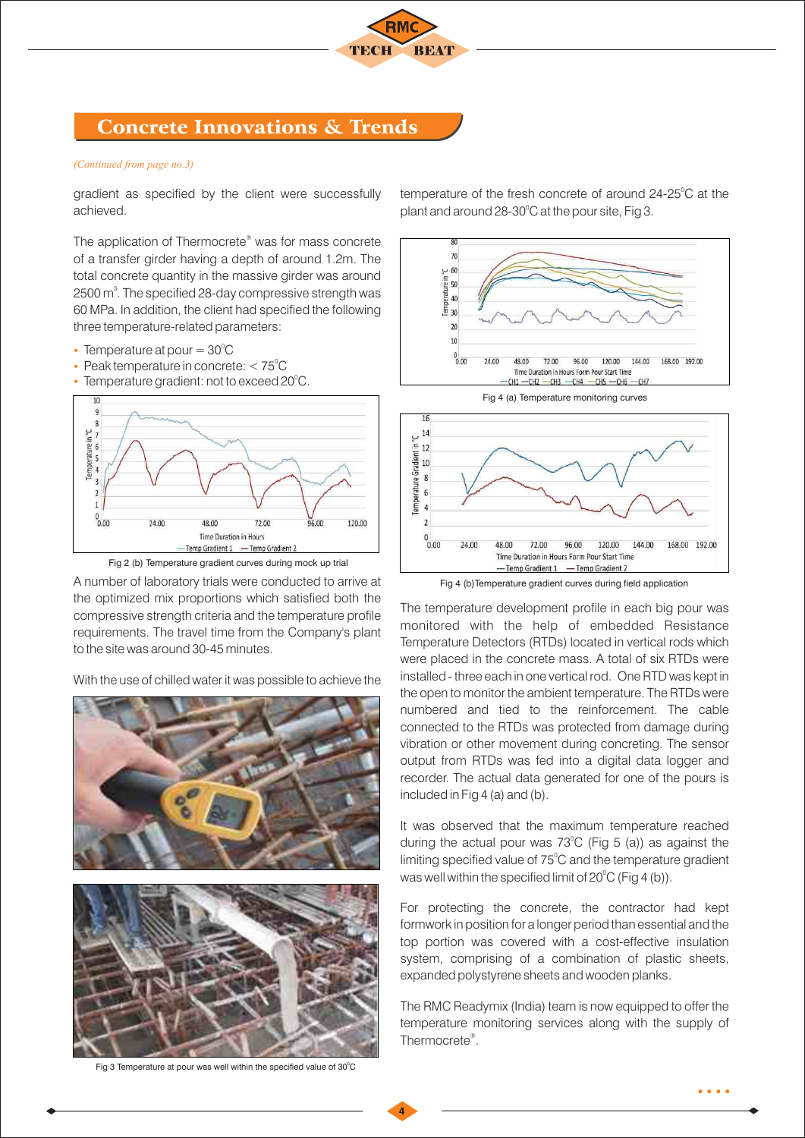

# Concrete Innovations & Trends

#### *(Continued from page no.3)*

gradient as specified by the client were successfully achieved.

The application of Thermocrete<sup>®</sup> was for mass concrete of a transfer girder having a depth of around 1.2m. The total concrete quantity in the massive girder was around 2500  $\text{m}^3$ . The specified 28-day compressive strength was 60 MPa. In addition, the client had specified the following three temperature-related parameters:

- Temperature at pour  $=30^{\circ}$ C
- Peak temperature in concrete:  $< 75^{\circ}$ C
- Temperature gradient: not to exceed 20 $^{\circ}$ C.





A number of laboratory trials were conducted to arrive at the optimized mix proportions which satisfied both the compressive strength criteria and the temperature profile requirements. The travel time from the Company's plant to the site was around 30-45 minutes.

With the use of chilled water it was possible to achieve the



Fig 3 Temperature at pour was well within the specified value of  $30^{\circ}$ C

temperature of the fresh concrete of around  $24-25^{\circ}$ C at the plant and around 28-30 $\degree$ C at the pour site, Fig 3.





-Temp Gradient 2

Time Duration in Hours Form Pour Start Time

-Temp Gradient 1

The temperature development profile in each big pour was monitored with the help of embedded Resistance Temperature Detectors (RTDs) located in vertical rods which were placed in the concrete mass. A total of six RTDs were installed - three each in one vertical rod. One RTD was kept in the open to monitor the ambient temperature. The RTDs were numbered and tied to the reinforcement. The cable connected to the RTDs was protected from damage during vibration or other movement during concreting. The sensor output from RTDs was fed into a digital data logger and recorder. The actual data generated for one of the pours is included in Fig 4 (a) and (b).

It was observed that the maximum temperature reached during the actual pour was  $73^{\circ}$ C (Fig 5 (a)) as against the limiting specified value of 75°C and the temperature gradient was well within the specified limit of  $20^{\circ}$ C (Fig 4 (b)).

For protecting the concrete, the contractor had kept formwork in position for a longer period than essential and the top portion was covered with a cost-effective insulation system, comprising of a combination of plastic sheets, expanded polystyrene sheets and wooden planks.

The RMC Readymix (India) team is now equipped to offer the temperature monitoring services along with the supply of Thermocrete<sup>®</sup>.

 $\bullet\bullet\bullet\bullet$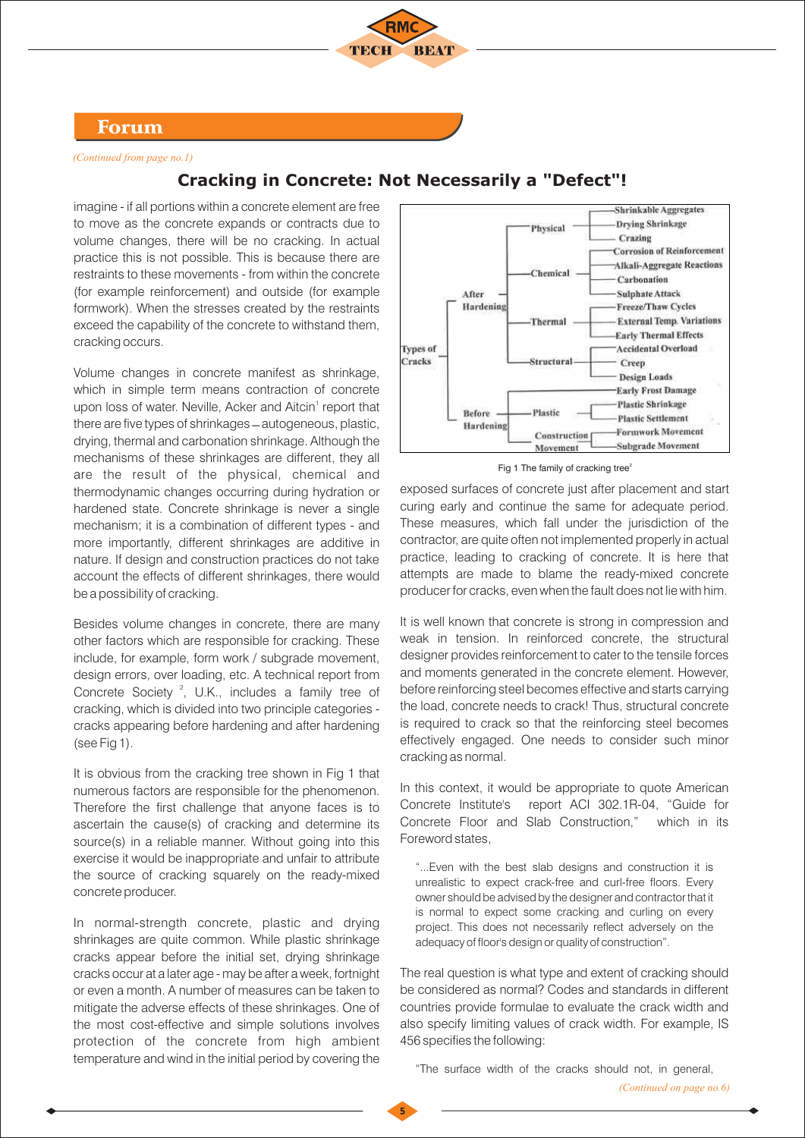

#### Forum

*(Continued from page no.1)*

#### imagine - if all portions within a concrete element are free **Shrinkable Aggregates** to move as the concrete expands or contracts due to **Drying Shrinkage** Physical Crazing volume changes, there will be no cracking. In actual **Corrosion of Reinforcement** practice this is not possible. This is because there are **Alkali-Aggregate Reactions** restraints to these movements - from within the concrete Chemical Carbonation A from **Sulphate Attack** Hardening Freeze/Thaw Cycles **External Temp. Variations** Thermal **Early Thermal Effects Accidental Overload** Types of Cracks Structural Creep **Design Loads Early Frost Damage Plastic Shrinkage** Before Plastic **Plastic Settlement** Hardening **Formwork Movement** Construction -Subgrade Movement Movement

## **Cracking in Concrete: Not Necessarily a "Defect"!**

(for example reinforcement) and outside (for example formwork). When the stresses created by the restraints exceed the capability of the concrete to withstand them, cracking occurs. Volume changes in concrete manifest as shrinkage, which in simple term means contraction of concrete upon loss of water. Neville, Acker and Aitcin<sup>1</sup> report that there are five types of shrinkages  $-$  autogeneous, plastic, drying, thermal and carbonation shrinkage. Although the mechanisms of these shrinkages are different, they all are the result of the physical, chemical and thermodynamic changes occurring during hydration or

hardened state. Concrete shrinkage is never a single mechanism; it is a combination of different types - and more importantly, different shrinkages are additive in nature. If design and construction practices do not take account the effects of different shrinkages, there would be a possibility of cracking.

Besides volume changes in concrete, there are many other factors which are responsible for cracking. These include, for example, form work / subgrade movement, design errors, over loading, etc. A technical report from Concrete Society<sup>2</sup>, U.K., includes a family tree of cracking, which is divided into two principle categories cracks appearing before hardening and after hardening (see Fig 1).

It is obvious from the cracking tree shown in Fig 1 that numerous factors are responsible for the phenomenon. Therefore the first challenge that anyone faces is to ascertain the cause(s) of cracking and determine its source(s) in a reliable manner. Without going into this exercise it would be inappropriate and unfair to attribute the source of cracking squarely on the ready-mixed concrete producer.

In normal-strength concrete, plastic and drying shrinkages are quite common. While plastic shrinkage cracks appear before the initial set, drying shrinkage cracks occur at a later age - may be after a week, fortnight or even a month. A number of measures can be taken to mitigate the adverse effects of these shrinkages. One of the most cost-effective and simple solutions involves protection of the concrete from high ambient temperature and wind in the initial period by covering the

Fig 1 The family of cracking tree<sup>5</sup>

exposed surfaces of concrete just after placement and start curing early and continue the same for adequate period. These measures, which fall under the jurisdiction of the contractor, are quite often not implemented properly in actual practice, leading to cracking of concrete. It is here that attempts are made to blame the ready-mixed concrete producer for cracks, even when the fault does not lie with him.

It is well known that concrete is strong in compression and weak in tension. In reinforced concrete, the structural designer provides reinforcement to cater to the tensile forces and moments generated in the concrete element. However, before reinforcing steel becomes effective and starts carrying the load, concrete needs to crack! Thus, structural concrete is required to crack so that the reinforcing steel becomes effectively engaged. One needs to consider such minor cracking as normal.

In this context, it would be appropriate to quote American Concrete Institute's report ACI 302.1R-04, "Guide for Concrete Floor and Slab Construction," which in its Foreword states,

"...Even with the best slab designs and construction it is unrealistic to expect crack-free and curl-free floors. Every owner should be advised by the designer and contractor that it is normal to expect some cracking and curling on every project. This does not necessarily reflect adversely on the adequacy of floor's design or quality of construction".

The real question is what type and extent of cracking should be considered as normal? Codes and standards in different countries provide formulae to evaluate the crack width and also specify limiting values of crack width. For example, IS 456 specifies the following:

"The surface width of the cracks should not, in general,

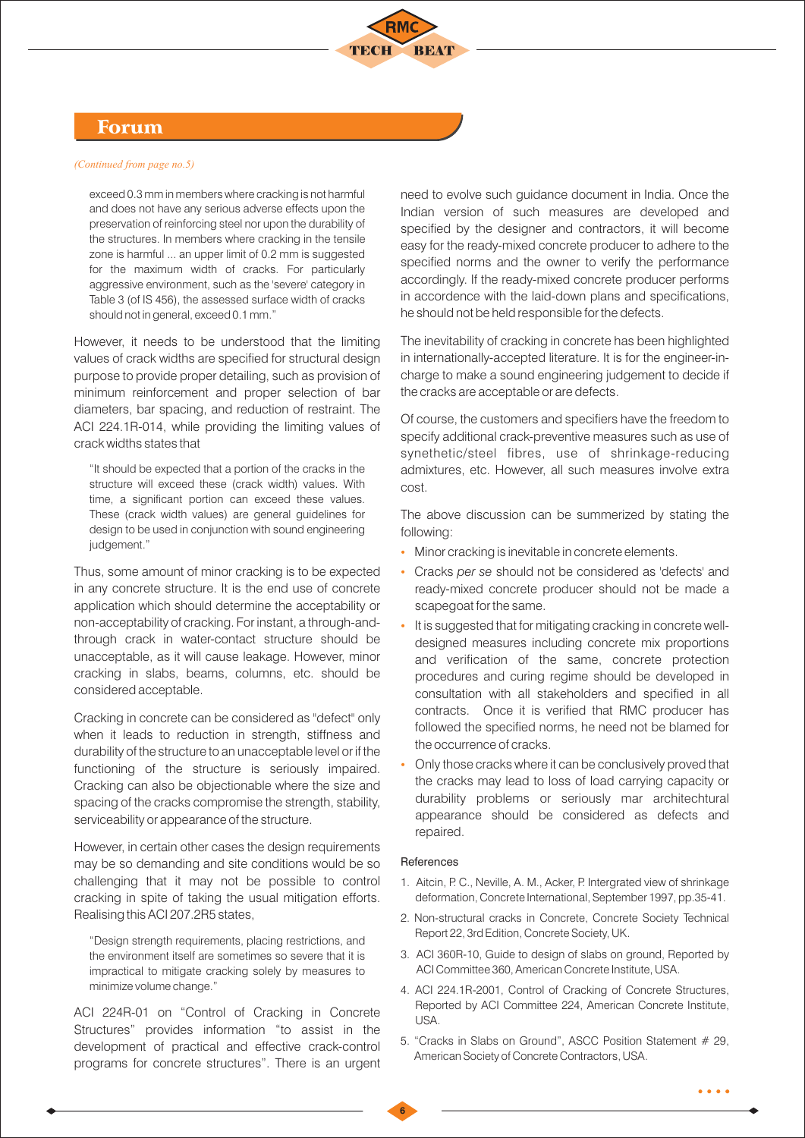

### Forum

#### *(Continued from page no.5)*

exceed 0.3 mm in members where cracking is not harmful and does not have any serious adverse effects upon the preservation of reinforcing steel nor upon the durability of the structures. In members where cracking in the tensile zone is harmful ... an upper limit of 0.2 mm is suggested for the maximum width of cracks. For particularly aggressive environment, such as the 'severe' category in Table 3 (of IS 456), the assessed surface width of cracks should not in general, exceed 0.1 mm."

However, it needs to be understood that the limiting values of crack widths are specified for structural design purpose to provide proper detailing, such as provision of minimum reinforcement and proper selection of bar diameters, bar spacing, and reduction of restraint. The ACI 224.1R-014, while providing the limiting values of crack widths states that

"It should be expected that a portion of the cracks in the structure will exceed these (crack width) values. With time, a significant portion can exceed these values. These (crack width values) are general guidelines for design to be used in conjunction with sound engineering judgement."

Thus, some amount of minor cracking is to be expected in any concrete structure. It is the end use of concrete application which should determine the acceptability or non-acceptability of cracking. For instant, a through-andthrough crack in water-contact structure should be unacceptable, as it will cause leakage. However, minor cracking in slabs, beams, columns, etc. should be considered acceptable.

Cracking in concrete can be considered as "defect" only when it leads to reduction in strength, stiffness and durability of the structure to an unacceptable level or if the functioning of the structure is seriously impaired. Cracking can also be objectionable where the size and spacing of the cracks compromise the strength, stability, serviceability or appearance of the structure.

However, in certain other cases the design requirements may be so demanding and site conditions would be so challenging that it may not be possible to control cracking in spite of taking the usual mitigation efforts. Realising this ACI 207.2R5 states,

"Design strength requirements, placing restrictions, and the environment itself are sometimes so severe that it is impractical to mitigate cracking solely by measures to minimize volume change."

ACI 224R-01 on "Control of Cracking in Concrete Structures" provides information "to assist in the development of practical and effective crack-control programs for concrete structures". There is an urgent need to evolve such guidance document in India. Once the Indian version of such measures are developed and specified by the designer and contractors, it will become easy for the ready-mixed concrete producer to adhere to the specified norms and the owner to verify the performance accordingly. If the ready-mixed concrete producer performs in accordence with the laid-down plans and specifications, he should not be held responsible for the defects.

The inevitability of cracking in concrete has been highlighted in internationally-accepted literature. It is for the engineer-incharge to make a sound engineering judgement to decide if the cracks are acceptable or are defects.

Of course, the customers and specifiers have the freedom to specify additional crack-preventive measures such as use of synethetic/steel fibres, use of shrinkage-reducing admixtures, etc. However, all such measures involve extra cost.

The above discussion can be summerized by stating the following:

- Minor cracking is inevitable in concrete elements. Ÿ
- Cracks *per se* should not be considered as 'defects' and ready-mixed concrete producer should not be made a scapegoat for the same. Ÿ
- It is suggested that for mitigating cracking in concrete welldesigned measures including concrete mix proportions and verification of the same, concrete protection procedures and curing regime should be developed in consultation with all stakeholders and specified in all contracts. Once it is verified that RMC producer has followed the specified norms, he need not be blamed for the occurrence of cracks. Ÿ
- Only those cracks where it can be conclusively proved that the cracks may lead to loss of load carrying capacity or durability problems or seriously mar architechtural appearance should be considered as defects and repaired. Ÿ

#### References

**6**

- 1. Aitcin, P. C., Neville, A. M., Acker, P. Intergrated view of shrinkage deformation, Concrete International, September 1997, pp.35-41.
- 2. Non-structural cracks in Concrete, Concrete Society Technical Report 22, 3rd Edition, Concrete Society, UK.
- 3. ACI 360R-10, Guide to design of slabs on ground, Reported by ACI Committee 360, American Concrete Institute, USA.
- 4. ACI 224.1R-2001, Control of Cracking of Concrete Structures, Reported by ACI Committee 224, American Concrete Institute, USA.
- 5. "Cracks in Slabs on Ground", ASCC Position Statement # 29, American Society of Concrete Contractors, USA.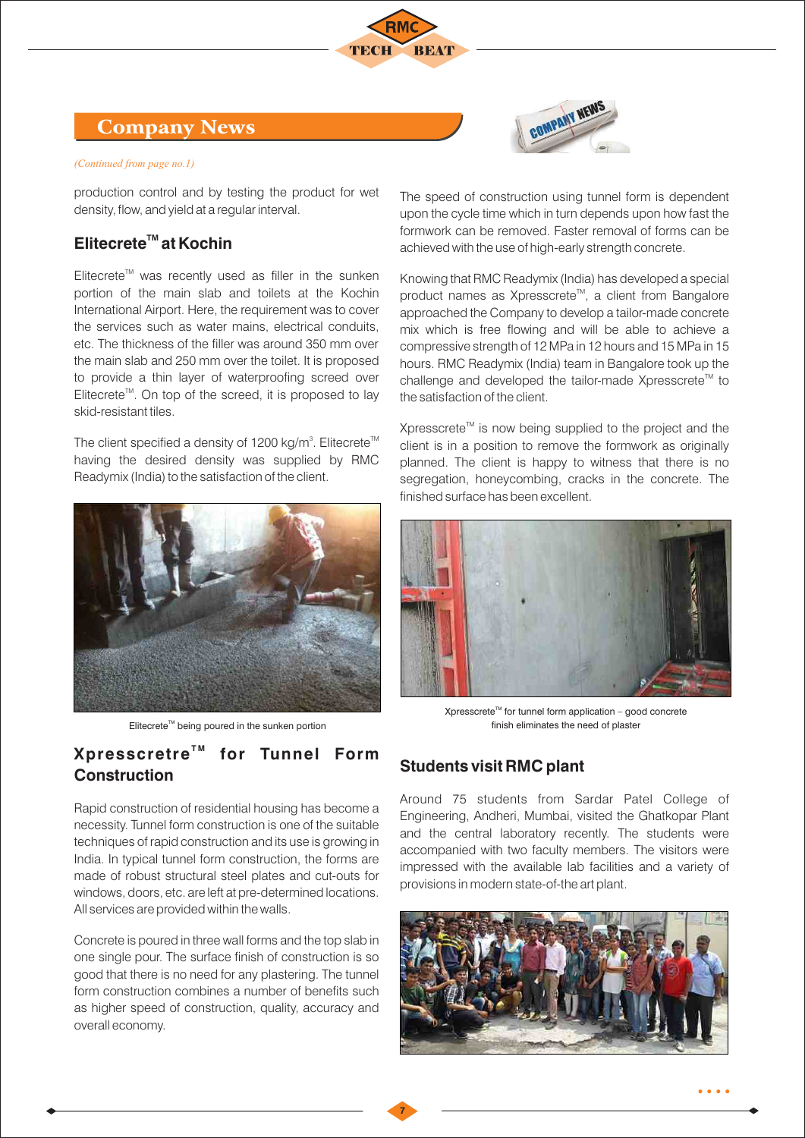## Company News

#### *(Continued from page no.1)*

production control and by testing the product for wet density, flow, and yield at a regular interval.

## **TM Elitecrete at Kochin**

 $E$ litecrete<sup>™</sup> was recently used as filler in the sunken portion of the main slab and toilets at the Kochin International Airport. Here, the requirement was to cover the services such as water mains, electrical conduits, etc. The thickness of the filler was around 350 mm over the main slab and 250 mm over the toilet. It is proposed to provide a thin layer of waterproofing screed over  $E$ litecrete<sup> $m$ </sup>. On top of the screed, it is proposed to lay skid-resistant tiles.

The client specified a density of 1200 kg/m<sup>3</sup>. Elitecrete<sup>TM</sup> having the desired density was supplied by RMC Readymix (India) to the satisfaction of the client.





The speed of construction using tunnel form is dependent upon the cycle time which in turn depends upon how fast the formwork can be removed. Faster removal of forms can be achieved with the use of high-early strength concrete.

Knowing that RMC Readymix (India) has developed a special product names as Xpresscrete<sup>™</sup>, a client from Bangalore approached the Company to develop a tailor-made concrete mix which is free flowing and will be able to achieve a compressive strength of 12 MPa in 12 hours and 15 MPa in 15 hours. RMC Readymix (India) team in Bangalore took up the challenge and developed the tailor-made Xpresscrete<sup>t M</sup> to the satisfaction of the client.

Xpresscrete<sup> $M$ </sup> is now being supplied to the project and the client is in a position to remove the formwork as originally planned. The client is happy to witness that there is no segregation, honeycombing, cracks in the concrete. The finished surface has been excellent.



 $X$ presscrete<sup>™</sup> for tunnel form application – good concrete Elitecrete<sup>™</sup> being poured in the sunken portion electron and the sunken portion and the sunken portion and the sunken portion and the sunken portion and the sunken portion and the sunken portion and the sunken portion an

#### **T M Xpresscretre for Tunnel Form Construction**

Rapid construction of residential housing has become a necessity. Tunnel form construction is one of the suitable techniques of rapid construction and its use is growing in India. In typical tunnel form construction, the forms are made of robust structural steel plates and cut-outs for windows, doors, etc. are left at pre-determined locations. All services are provided within the walls.

Concrete is poured in three wall forms and the top slab in one single pour. The surface finish of construction is so good that there is no need for any plastering. The tunnel form construction combines a number of benefits such as higher speed of construction, quality, accuracy and overall economy.

#### **Students visit RMC plant**

**7**

Around 75 students from Sardar Patel College of Engineering, Andheri, Mumbai, visited the Ghatkopar Plant and the central laboratory recently. The students were accompanied with two faculty members. The visitors were impressed with the available lab facilities and a variety of provisions in modern state-of-the art plant.